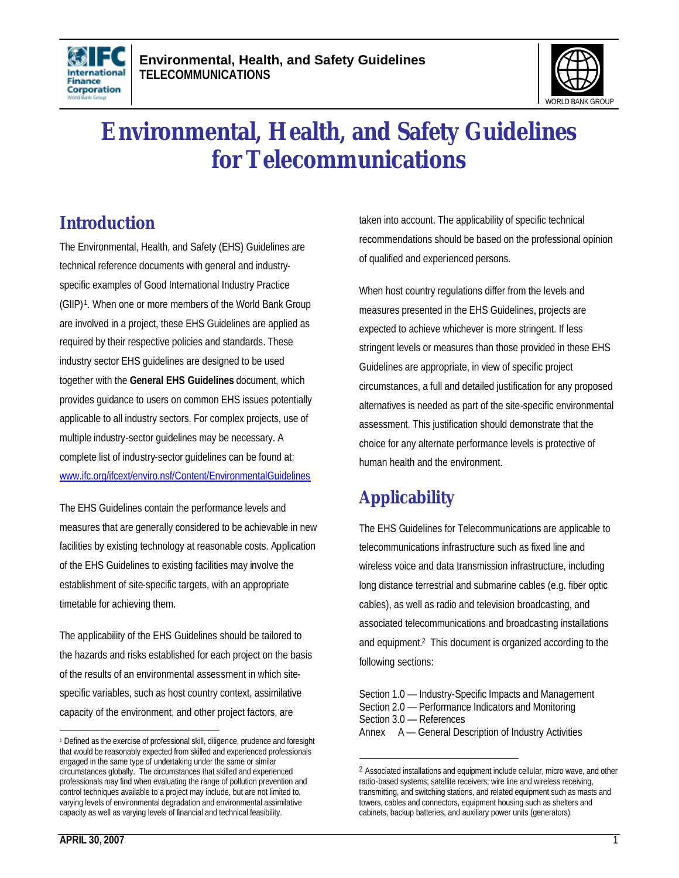



# **Environmental, Health, and Safety Guidelines for Telecommunications**

# **Introduction**

The Environmental, Health, and Safety (EHS) Guidelines are technical reference documents with general and industryspecific examples of Good International Industry Practice (GIIP) <sup>1</sup> . When one or more members of the World Bank Group are involved in a project, these EHS Guidelines are applied as required by their respective policies and standards. These industry sector EHS guidelines are designed to be used together with the **General EHS Guidelines** document, which provides guidance to users on common EHS issues potentially applicable to all industry sectors. For complex projects, use of multiple industry-sector guidelines may be necessary. A complete list of industry-sector guidelines can be found at: www.ifc.org/ifcext/enviro.nsf/Content/EnvironmentalGuidelines

The EHS Guidelines contain the performance levels and measures that are generally considered to be achievable in new facilities by existing technology at reasonable costs. Application of the EHS Guidelines to existing facilities may involve the establishment of site-specific targets, with an appropriate timetable for achieving them.

The applicability of the EHS Guidelines should be tailored to the hazards and risks established for each project on the basis of the results of an environmental assessment in which sitespecific variables, such as host country context, assimilative capacity of the environment, and other project factors, are

taken into account. The applicability of specific technical recommendations should be based on the professional opinion of qualified and experienced persons.

When host country regulations differ from the levels and measures presented in the EHS Guidelines, projects are expected to achieve whichever is more stringent. If less stringent levels or measures than those provided in these EHS Guidelines are appropriate, in view of specific project circumstances, a full and detailed justification for any proposed alternatives is needed as part of the site-specific environmental assessment. This justification should demonstrate that the choice for any alternate performance levels is protective of human health and the environment.

# **Applicability**

<u>.</u>

The EHS Guidelines for Telecommunications are applicable to telecommunications infrastructure such as fixed line and wireless voice and data transmission infrastructure, including long distance terrestrial and submarine cables (e.g. fiber optic cables), as well as radio and television broadcasting, and associated telecommunications and broadcasting installations and equipment.<sup>2</sup> This document is organized according to the following sections:

Section 1.0 — Industry-Specific Impacts and Management Section 2.0 — Performance Indicators and Monitoring Section 3.0 — References Annex A — General Description of Industry Activities

 $\overline{a}$ 1 Defined as the exercise of professional skill, diligence, prudence and foresight that would be reasonably expected from skilled and experienced professionals engaged in the same type of undertaking under the same or similar circumstances globally. The circumstances that skilled and experienced professionals may find when evaluating the range of pollution prevention and control techniques available to a project may include, but are not limited to, varying levels of environmental degradation and environmental assimilative capacity as well as varying levels of financial and technical feasibility.

<sup>&</sup>lt;sup>2</sup> Associated installations and equipment include cellular, micro wave, and other radio-based systems; satellite receivers; wire line and wireless receiving, transmitting, and switching stations, and related equipment such as masts and towers, cables and connectors, equipment housing such as shelters and cabinets, backup batteries, and auxiliary power units (generators).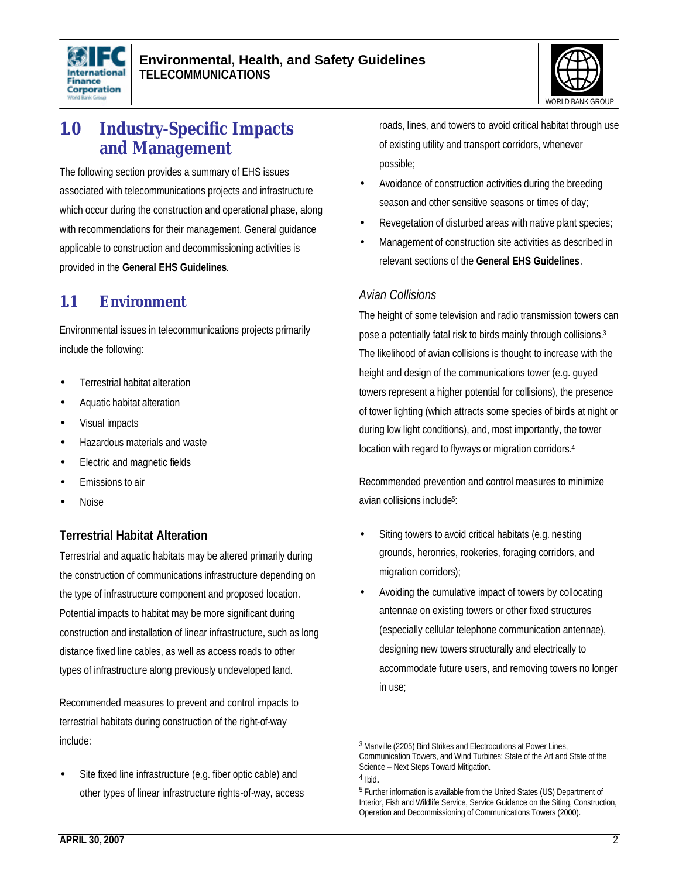



# **1.0 Industry-Specific Impacts and Management**

The following section provides a summary of EHS issues associated with telecommunications projects and infrastructure which occur during the construction and operational phase, along with recommendations for their management. General guidance applicable to construction and decommissioning activities is provided in the **General EHS Guidelines**.

# **1.1 Environment**

Environmental issues in telecommunications projects primarily include the following:

- Terrestrial habitat alteration
- Aquatic habitat alteration
- Visual impacts
- Hazardous materials and waste
- Electric and magnetic fields
- Emissions to air
- Noise

### **Terrestrial Habitat Alteration**

Terrestrial and aquatic habitats may be altered primarily during the construction of communications infrastructure depending on the type of infrastructure component and proposed location. Potential impacts to habitat may be more significant during construction and installation of linear infrastructure, such as long distance fixed line cables, as well as access roads to other types of infrastructure along previously undeveloped land.

Recommended measures to prevent and control impacts to terrestrial habitats during construction of the right-of-way include:

Site fixed line infrastructure (e.g. fiber optic cable) and other types of linear infrastructure rights-of-way, access roads, lines, and towers to avoid critical habitat through use of existing utility and transport corridors, whenever possible;

- Avoidance of construction activities during the breeding season and other sensitive seasons or times of day;
- Revegetation of disturbed areas with native plant species;
- Management of construction site activities as described in relevant sections of the **General EHS Guidelines**.

#### *Avian Collisions*

The height of some television and radio transmission towers can pose a potentially fatal risk to birds mainly through collisions.<sup>3</sup> The likelihood of avian collisions is thought to increase with the height and design of the communications tower (e.g. guyed towers represent a higher potential for collisions), the presence of tower lighting (which attracts some species of birds at night or during low light conditions), and, most importantly, the tower location with regard to flyways or migration corridors.<sup>4</sup>

Recommended prevention and control measures to minimize avian collisions include<sup>5</sup> :

- Siting towers to avoid critical habitats (e.g. nesting grounds, heronries, rookeries, foraging corridors, and migration corridors);
- Avoiding the cumulative impact of towers by collocating antennae on existing towers or other fixed structures (especially cellular telephone communication antennae), designing new towers structurally and electrically to accommodate future users, and removing towers no longer in use;

 $\overline{a}$ 

<sup>3</sup> Manville (2205) Bird Strikes and Electrocutions at Power Lines, Communication Towers, and Wind Turbines: State of the Art and State of the Science – Next Steps Toward Mitigation.

<sup>4</sup> Ibid.

<sup>&</sup>lt;sup>5</sup> Further information is available from the United States (US) Department of Interior, Fish and Wildlife Service, Service Guidance on the Siting, Construction, Operation and Decommissioning of Communications Towers (2000).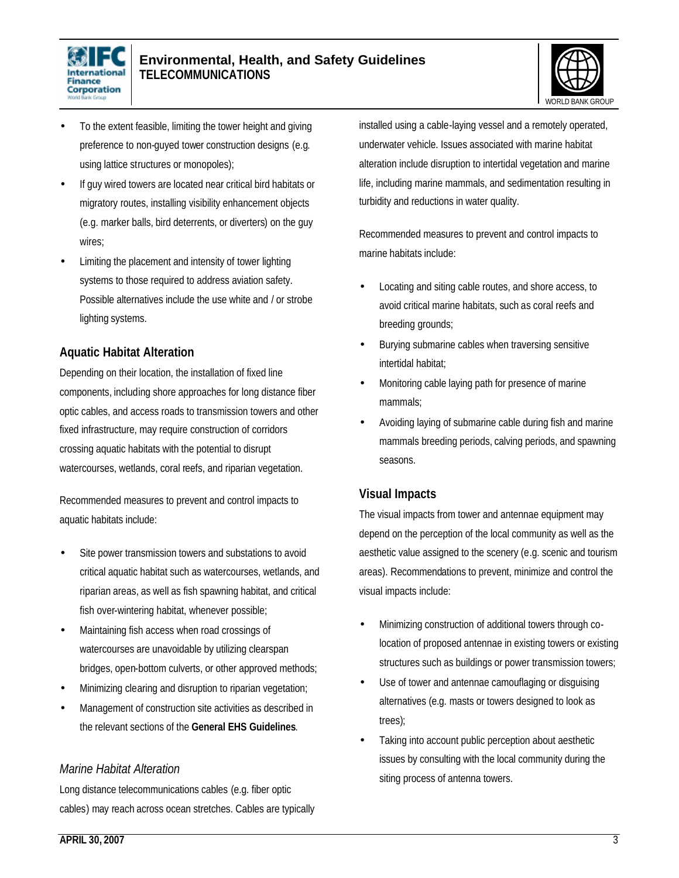



- To the extent feasible, limiting the tower height and giving preference to non-guyed tower construction designs (e.g. using lattice structures or monopoles);
- If guy wired towers are located near critical bird habitats or migratory routes, installing visibility enhancement objects (e.g. marker balls, bird deterrents, or diverters) on the guy wires;
- Limiting the placement and intensity of tower lighting systems to those required to address aviation safety. Possible alternatives include the use white and / or strobe lighting systems.

### **Aquatic Habitat Alteration**

Depending on their location, the installation of fixed line components, including shore approaches for long distance fiber optic cables, and access roads to transmission towers and other fixed infrastructure, may require construction of corridors crossing aquatic habitats with the potential to disrupt watercourses, wetlands, coral reefs, and riparian vegetation.

Recommended measures to prevent and control impacts to aquatic habitats include:

- Site power transmission towers and substations to avoid critical aquatic habitat such as watercourses, wetlands, and riparian areas, as well as fish spawning habitat, and critical fish over-wintering habitat, whenever possible;
- Maintaining fish access when road crossings of watercourses are unavoidable by utilizing clearspan bridges, open-bottom culverts, or other approved methods;
- Minimizing clearing and disruption to riparian vegetation;
- Management of construction site activities as described in the relevant sections of the **General EHS Guidelines**.

#### *Marine Habitat Alteration*

Long distance telecommunications cables (e.g. fiber optic cables) may reach across ocean stretches. Cables are typically installed using a cable-laying vessel and a remotely operated, underwater vehicle. Issues associated with marine habitat alteration include disruption to intertidal vegetation and marine life, including marine mammals, and sedimentation resulting in turbidity and reductions in water quality.

Recommended measures to prevent and control impacts to marine habitats include:

- Locating and siting cable routes, and shore access, to avoid critical marine habitats, such as coral reefs and breeding grounds;
- Burying submarine cables when traversing sensitive intertidal habitat;
- Monitoring cable laying path for presence of marine mammals;
- Avoiding laying of submarine cable during fish and marine mammals breeding periods, calving periods, and spawning seasons.

#### **Visual Impacts**

The visual impacts from tower and antennae equipment may depend on the perception of the local community as well as the aesthetic value assigned to the scenery (e.g. scenic and tourism areas). Recommendations to prevent, minimize and control the visual impacts include:

- Minimizing construction of additional towers through colocation of proposed antennae in existing towers or existing structures such as buildings or power transmission towers;
- Use of tower and antennae camouflaging or disguising alternatives (e.g. masts or towers designed to look as trees);
- Taking into account public perception about aesthetic issues by consulting with the local community during the siting process of antenna towers.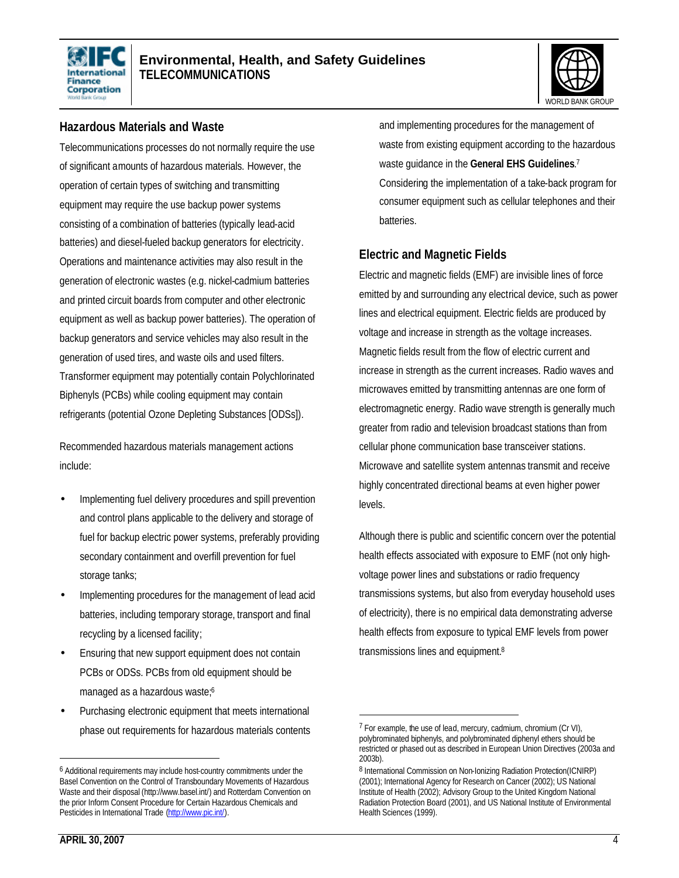



#### **Hazardous Materials and Waste**

Telecommunications processes do not normally require the use of significant amounts of hazardous materials. However, the operation of certain types of switching and transmitting equipment may require the use backup power systems consisting of a combination of batteries (typically lead-acid batteries) and diesel-fueled backup generators for electricity. Operations and maintenance activities may also result in the generation of electronic wastes (e.g. nickel-cadmium batteries and printed circuit boards from computer and other electronic equipment as well as backup power batteries). The operation of backup generators and service vehicles may also result in the generation of used tires, and waste oils and used filters. Transformer equipment may potentially contain Polychlorinated Biphenyls (PCBs) while cooling equipment may contain refrigerants (potential Ozone Depleting Substances [ODSs]).

Recommended hazardous materials management actions include:

- Implementing fuel delivery procedures and spill prevention and control plans applicable to the delivery and storage of fuel for backup electric power systems, preferably providing secondary containment and overfill prevention for fuel storage tanks;
- Implementing procedures for the management of lead acid batteries, including temporary storage, transport and final recycling by a licensed facility;
- Ensuring that new support equipment does not contain PCBs or ODSs. PCBs from old equipment should be managed as a hazardous waste;<sup>6</sup>
- Purchasing electronic equipment that meets international phase out requirements for hazardous materials contents

and implementing procedures for the management of waste from existing equipment according to the hazardous waste guidance in the **General EHS Guidelines**. 7 Considering the implementation of a take-back program for consumer equipment such as cellular telephones and their batteries.

#### **Electric and Magnetic Fields**

Electric and magnetic fields (EMF) are invisible lines of force emitted by and surrounding any electrical device, such as power lines and electrical equipment. Electric fields are produced by voltage and increase in strength as the voltage increases. Magnetic fields result from the flow of electric current and increase in strength as the current increases. Radio waves and microwaves emitted by transmitting antennas are one form of electromagnetic energy. Radio wave strength is generally much greater from radio and television broadcast stations than from cellular phone communication base transceiver stations. Microwave and satellite system antennas transmit and receive highly concentrated directional beams at even higher power levels.

Although there is public and scientific concern over the potential health effects associated with exposure to EMF (not only highvoltage power lines and substations or radio frequency transmissions systems, but also from everyday household uses of electricity), there is no empirical data demonstrating adverse health effects from exposure to typical EMF levels from power transmissions lines and equipment.<sup>8</sup>

l

l

<sup>6</sup> Additional requirements may include host-country commitments under the Basel Convention on the Control of Transboundary Movements of Hazardous Waste and their disposal (http://www.basel.int/) and Rotterdam Convention on the prior Inform Consent Procedure for Certain Hazardous Chemicals and Pesticides in International Trade (http://www.pic.int/).

 $<sup>7</sup>$  For example, the use of lead, mercury, cadmium, chromium (Cr VI),</sup> polybrominated biphenyls, and polybrominated diphenyl ethers should be restricted or phased out as described in European Union Directives (2003a and 2003b).

<sup>8</sup> International Commission on Non-Ionizing Radiation Protection(ICNIRP) (2001); International Agency for Research on Cancer (2002); US National Institute of Health (2002); Advisory Group to the United Kingdom National Radiation Protection Board (2001), and US National Institute of Environmental Health Sciences (1999).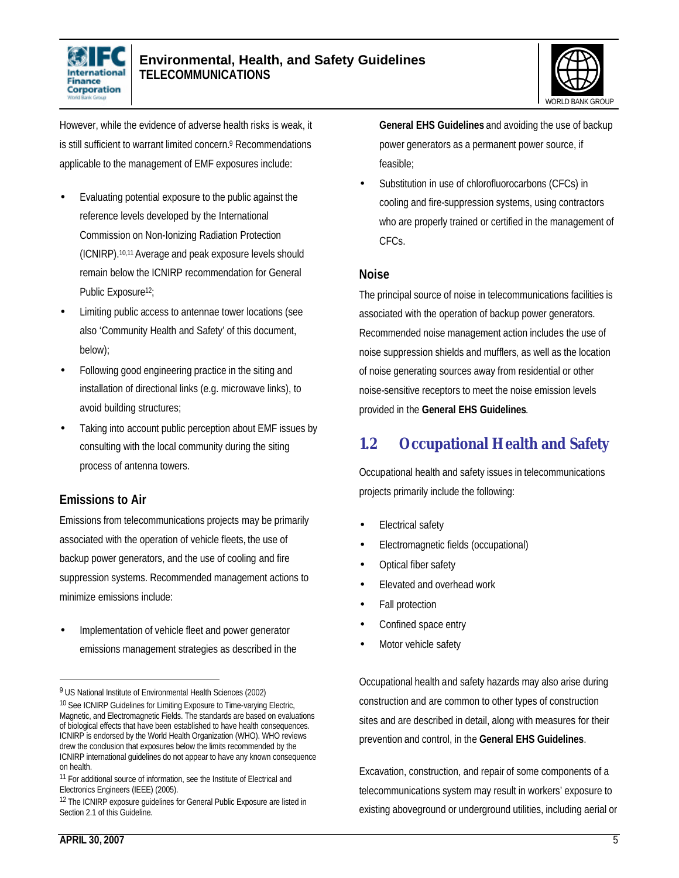



However, while the evidence of adverse health risks is weak, it is still sufficient to warrant limited concern.<sup>9</sup> Recommendations applicable to the management of EMF exposures include:

- Evaluating potential exposure to the public against the reference levels developed by the International Commission on Non-Ionizing Radiation Protection (ICNIRP).10,11Average and peak exposure levels should remain below the ICNIRP recommendation for General Public Exposure<sup>12</sup>;
- Limiting public access to antennae tower locations (see also 'Community Health and Safety' of this document, below);
- Following good engineering practice in the siting and installation of directional links (e.g. microwave links), to avoid building structures;
- Taking into account public perception about EMF issues by consulting with the local community during the siting process of antenna towers.

### **Emissions to Air**

Emissions from telecommunications projects may be primarily associated with the operation of vehicle fleets, the use of backup power generators, and the use of cooling and fire suppression systems. Recommended management actions to minimize emissions include:

Implementation of vehicle fleet and power generator emissions management strategies as described in the

**General EHS Guidelines** and avoiding the use of backup power generators as a permanent power source, if feasible;

Substitution in use of chlorofluorocarbons (CFCs) in cooling and fire-suppression systems, using contractors who are properly trained or certified in the management of CFCs.

#### **Noise**

The principal source of noise in telecommunications facilities is associated with the operation of backup power generators. Recommended noise management action includes the use of noise suppression shields and mufflers, as well as the location of noise generating sources away from residential or other noise-sensitive receptors to meet the noise emission levels provided in the **General EHS Guidelines**.

# **1.2 Occupational Health and Safety**

Occupational health and safety issues in telecommunications projects primarily include the following:

- Electrical safety
- Electromagnetic fields (occupational)
- Optical fiber safety
- Elevated and overhead work
- Fall protection
- Confined space entry
- Motor vehicle safety

Occupational health and safety hazards may also arise during construction and are common to other types of construction sites and are described in detail, along with measures for their prevention and control, in the **General EHS Guidelines**.

Excavation, construction, and repair of some components of a telecommunications system may result in workers' exposure to existing aboveground or underground utilities, including aerial or

 $\overline{a}$ 

<sup>&</sup>lt;sup>9</sup> US National Institute of Environmental Health Sciences (2002)

<sup>&</sup>lt;sup>10</sup> See ICNIRP Guidelines for Limiting Exposure to Time-varying Electric, Magnetic, and Electromagnetic Fields. The standards are based on evaluations of biological effects that have been established to have health consequences. ICNIRP is endorsed by the World Health Organization (WHO). WHO reviews drew the conclusion that exposures below the limits recommended by the ICNIRP international guidelines do not appear to have any known consequence on health.

<sup>&</sup>lt;sup>11</sup> For additional source of information, see the Institute of Electrical and Electronics Engineers (IEEE) (2005).

<sup>&</sup>lt;sup>12</sup> The ICNIRP exposure quidelines for General Public Exposure are listed in Section 2.1 of this Guideline.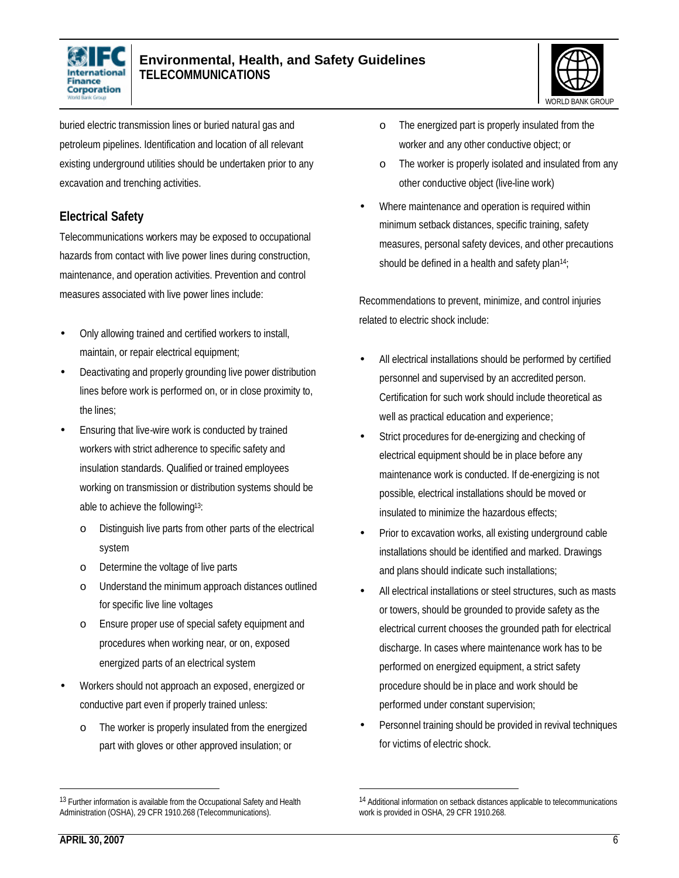



buried electric transmission lines or buried natural gas and petroleum pipelines. Identification and location of all relevant existing underground utilities should be undertaken prior to any excavation and trenching activities.

### **Electrical Safety**

Telecommunications workers may be exposed to occupational hazards from contact with live power lines during construction, maintenance, and operation activities. Prevention and control measures associated with live power lines include:

- Only allowing trained and certified workers to install, maintain, or repair electrical equipment;
- Deactivating and properly grounding live power distribution lines before work is performed on, or in close proximity to, the lines;
- Ensuring that live-wire work is conducted by trained workers with strict adherence to specific safety and insulation standards. Qualified or trained employees working on transmission or distribution systems should be able to achieve the following13:
	- o Distinguish live parts from other parts of the electrical system
	- o Determine the voltage of live parts
	- o Understand the minimum approach distances outlined for specific live line voltages
	- o Ensure proper use of special safety equipment and procedures when working near, or on, exposed energized parts of an electrical system
- Workers should not approach an exposed, energized or conductive part even if properly trained unless:
	- o The worker is properly insulated from the energized part with gloves or other approved insulation; or
- o The energized part is properly insulated from the worker and any other conductive object; or
- o The worker is properly isolated and insulated from any other conductive object (live-line work)
- Where maintenance and operation is required within minimum setback distances, specific training, safety measures, personal safety devices, and other precautions should be defined in a health and safety plan<sup>14</sup>;

Recommendations to prevent, minimize, and control injuries related to electric shock include:

- All electrical installations should be performed by certified personnel and supervised by an accredited person. Certification for such work should include theoretical as well as practical education and experience;
- Strict procedures for de-energizing and checking of electrical equipment should be in place before any maintenance work is conducted. If de-energizing is not possible, electrical installations should be moved or insulated to minimize the hazardous effects;
- Prior to excavation works, all existing underground cable installations should be identified and marked. Drawings and plans should indicate such installations;
- All electrical installations or steel structures, such as masts or towers, should be grounded to provide safety as the electrical current chooses the grounded path for electrical discharge. In cases where maintenance work has to be performed on energized equipment, a strict safety procedure should be in place and work should be performed under constant supervision;
- Personnel training should be provided in revival techniques for victims of electric shock.

l

l

<sup>&</sup>lt;sup>13</sup> Further information is available from the Occupational Safety and Health Administration (OSHA), 29 CFR 1910.268 (Telecommunications).

<sup>&</sup>lt;sup>14</sup> Additional information on setback distances applicable to telecommunications work is provided in OSHA, 29 CFR 1910.268.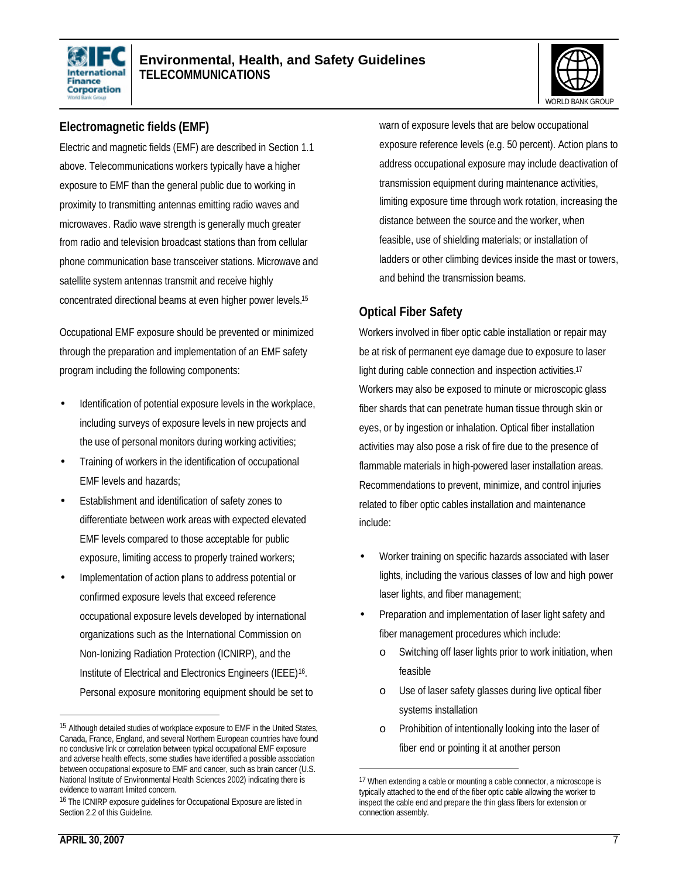



### **Electromagnetic fields (EMF)**

Electric and magnetic fields (EMF) are described in Section 1.1 above. Telecommunications workers typically have a higher exposure to EMF than the general public due to working in proximity to transmitting antennas emitting radio waves and microwaves. Radio wave strength is generally much greater from radio and television broadcast stations than from cellular phone communication base transceiver stations. Microwave and satellite system antennas transmit and receive highly concentrated directional beams at even higher power levels.<sup>15</sup>

Occupational EMF exposure should be prevented or minimized through the preparation and implementation of an EMF safety program including the following components:

- Identification of potential exposure levels in the workplace, including surveys of exposure levels in new projects and the use of personal monitors during working activities;
- Training of workers in the identification of occupational EMF levels and hazards;
- Establishment and identification of safety zones to differentiate between work areas with expected elevated EMF levels compared to those acceptable for public exposure, limiting access to properly trained workers;
- Implementation of action plans to address potential or confirmed exposure levels that exceed reference occupational exposure levels developed by international organizations such as the International Commission on Non-Ionizing Radiation Protection (ICNIRP), and the Institute of Electrical and Electronics Engineers (IEEE)<sup>16</sup>. Personal exposure monitoring equipment should be set to

warn of exposure levels that are below occupational exposure reference levels (e.g. 50 percent). Action plans to address occupational exposure may include deactivation of transmission equipment during maintenance activities, limiting exposure time through work rotation, increasing the distance between the source and the worker, when feasible, use of shielding materials; or installation of ladders or other climbing devices inside the mast or towers, and behind the transmission beams.

### **Optical Fiber Safety**

Workers involved in fiber optic cable installation or repair may be at risk of permanent eye damage due to exposure to laser light during cable connection and inspection activities.<sup>17</sup> Workers may also be exposed to minute or microscopic glass fiber shards that can penetrate human tissue through skin or eyes, or by ingestion or inhalation. Optical fiber installation activities may also pose a risk of fire due to the presence of flammable materials in high-powered laser installation areas. Recommendations to prevent, minimize, and control injuries related to fiber optic cables installation and maintenance include:

- Worker training on specific hazards associated with laser lights, including the various classes of low and high power laser lights, and fiber management;
- Preparation and implementation of laser light safety and fiber management procedures which include:
	- o Switching off laser lights prior to work initiation, when feasible
	- o Use of laser safety glasses during live optical fiber systems installation
	- o Prohibition of intentionally looking into the laser of fiber end or pointing it at another person

1

l

<sup>&</sup>lt;sup>15</sup> Although detailed studies of workplace exposure to EMF in the United States, Canada, France, England, and several Northern European countries have found no conclusive link or correlation between typical occupational EMF exposure and adverse health effects, some studies have identified a possible association between occupational exposure to EMF and cancer, such as brain cancer (U.S. National Institute of Environmental Health Sciences 2002) indicating there is evidence to warrant limited concern.

<sup>16</sup> The ICNIRP exposure guidelines for Occupational Exposure are listed in Section 2.2 of this Guideline.

<sup>17</sup> When extending a cable or mounting a cable connector, a microscope is typically attached to the end of the fiber optic cable allowing the worker to inspect the cable end and prepare the thin glass fibers for extension or connection assembly.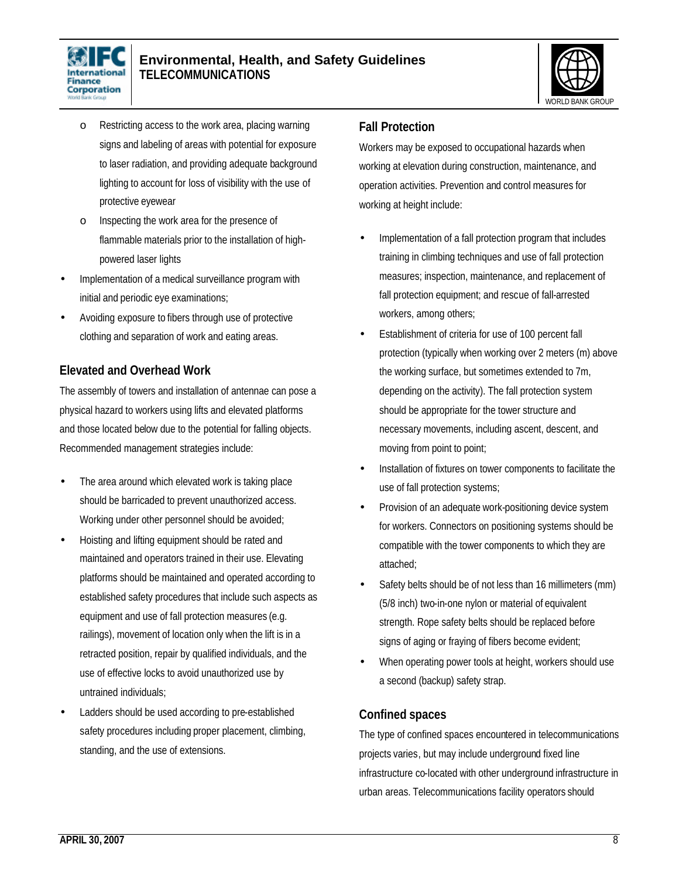



- o Restricting access to the work area, placing warning signs and labeling of areas with potential for exposure to laser radiation, and providing adequate background lighting to account for loss of visibility with the use of protective eyewear
- o Inspecting the work area for the presence of flammable materials prior to the installation of highpowered laser lights
- Implementation of a medical surveillance program with initial and periodic eye examinations;
- Avoiding exposure to fibers through use of protective clothing and separation of work and eating areas.

### **Elevated and Overhead Work**

The assembly of towers and installation of antennae can pose a physical hazard to workers using lifts and elevated platforms and those located below due to the potential for falling objects. Recommended management strategies include:

- The area around which elevated work is taking place should be barricaded to prevent unauthorized access. Working under other personnel should be avoided;
- Hoisting and lifting equipment should be rated and maintained and operators trained in their use. Elevating platforms should be maintained and operated according to established safety procedures that include such aspects as equipment and use of fall protection measures (e.g. railings), movement of location only when the lift is in a retracted position, repair by qualified individuals, and the use of effective locks to avoid unauthorized use by untrained individuals;
- Ladders should be used according to pre-established safety procedures including proper placement, climbing, standing, and the use of extensions.

#### **Fall Protection**

Workers may be exposed to occupational hazards when working at elevation during construction, maintenance, and operation activities. Prevention and control measures for working at height include:

- Implementation of a fall protection program that includes training in climbing techniques and use of fall protection measures; inspection, maintenance, and replacement of fall protection equipment; and rescue of fall-arrested workers, among others;
- Establishment of criteria for use of 100 percent fall protection (typically when working over 2 meters (m) above the working surface, but sometimes extended to 7m, depending on the activity). The fall protection system should be appropriate for the tower structure and necessary movements, including ascent, descent, and moving from point to point;
- Installation of fixtures on tower components to facilitate the use of fall protection systems;
- Provision of an adequate work-positioning device system for workers. Connectors on positioning systems should be compatible with the tower components to which they are attached;
- Safety belts should be of not less than 16 millimeters (mm) (5/8 inch) two-in-one nylon or material of equivalent strength. Rope safety belts should be replaced before signs of aging or fraying of fibers become evident;
- When operating power tools at height, workers should use a second (backup) safety strap.

#### **Confined spaces**

The type of confined spaces encountered in telecommunications projects varies, but may include underground fixed line infrastructure co-located with other underground infrastructure in urban areas. Telecommunications facility operators should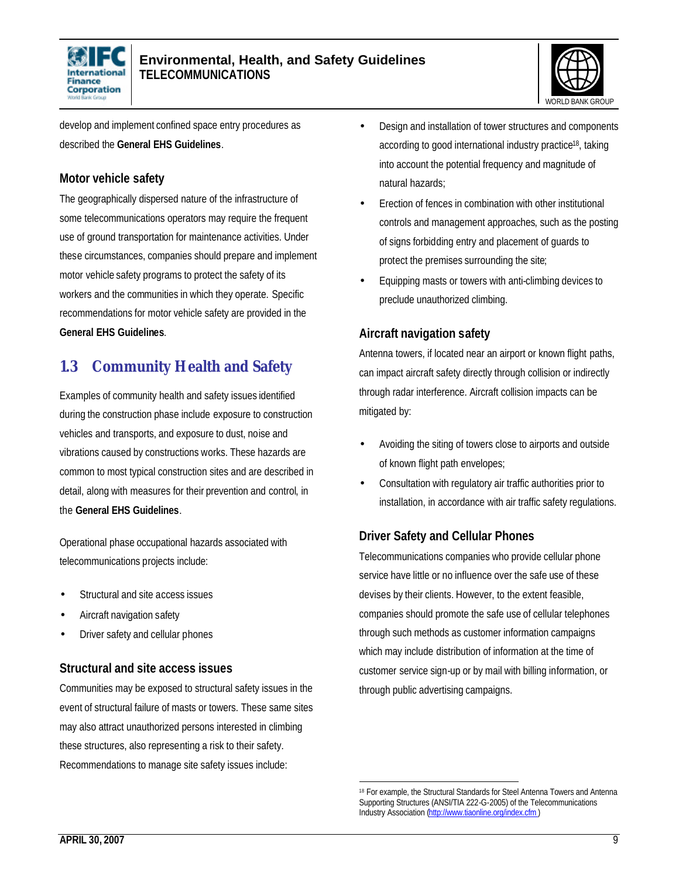



develop and implement confined space entry procedures as described the **General EHS Guidelines**.

### **Motor vehicle safety**

The geographically dispersed nature of the infrastructure of some telecommunications operators may require the frequent use of ground transportation for maintenance activities. Under these circumstances, companies should prepare and implement motor vehicle safety programs to protect the safety of its workers and the communities in which they operate. Specific recommendations for motor vehicle safety are provided in the **General EHS Guidelines**.

# **1.3 Community Health and Safety**

Examples of community health and safety issues identified during the construction phase include exposure to construction vehicles and transports, and exposure to dust, noise and vibrations caused by constructions works. These hazards are common to most typical construction sites and are described in detail, along with measures for their prevention and control, in the **General EHS Guidelines**.

Operational phase occupational hazards associated with telecommunications projects include:

- Structural and site access issues
- Aircraft navigation safety
- Driver safety and cellular phones

### **Structural and site access issues**

Communities may be exposed to structural safety issues in the event of structural failure of masts or towers. These same sites may also attract unauthorized persons interested in climbing these structures, also representing a risk to their safety. Recommendations to manage site safety issues include:

- Design and installation of tower structures and components according to good international industry practice18, taking into account the potential frequency and magnitude of natural hazards;
- Erection of fences in combination with other institutional controls and management approaches, such as the posting of signs forbidding entry and placement of guards to protect the premises surrounding the site;
- Equipping masts or towers with anti-climbing devices to preclude unauthorized climbing.

# **Aircraft navigation safety**

Antenna towers, if located near an airport or known flight paths, can impact aircraft safety directly through collision or indirectly through radar interference. Aircraft collision impacts can be mitigated by:

- Avoiding the siting of towers close to airports and outside of known flight path envelopes;
- Consultation with regulatory air traffic authorities prior to installation, in accordance with air traffic safety regulations.

# **Driver Safety and Cellular Phones**

Telecommunications companies who provide cellular phone service have little or no influence over the safe use of these devises by their clients. However, to the extent feasible, companies should promote the safe use of cellular telephones through such methods as customer information campaigns which may include distribution of information at the time of customer service sign-up or by mail with billing information, or through public advertising campaigns.

<sup>&</sup>lt;u>.</u> 18 For example, the Structural Standards for Steel Antenna Towers and Antenna Supporting Structures (ANSI/TIA 222-G-2005) of the Telecommunications Industry Association (http://www.tiaonline.org/index.cfm)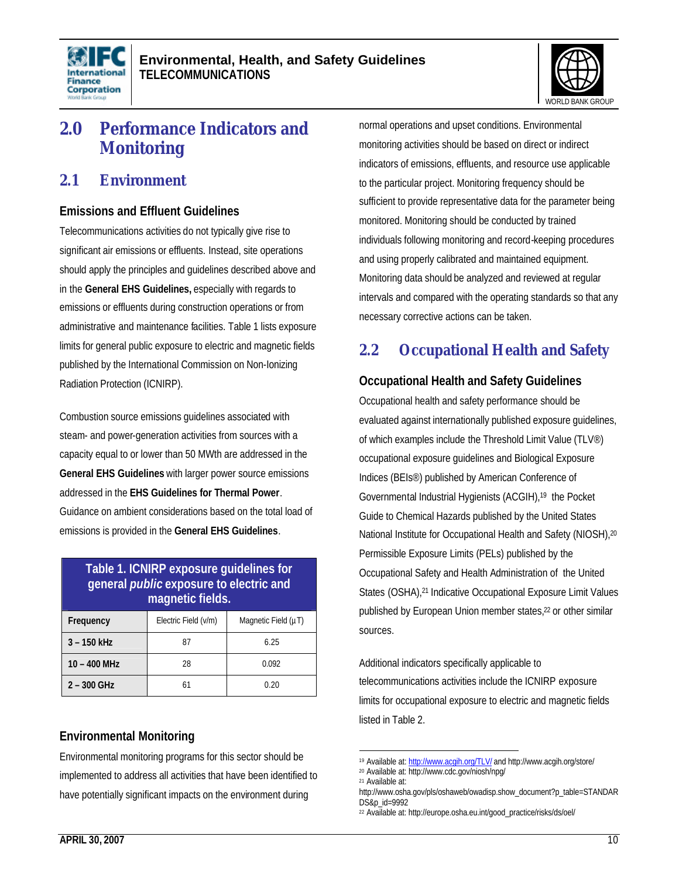



# **2.0 Performance Indicators and Monitoring**

### **2.1 Environment**

#### **Emissions and Effluent Guidelines**

Telecommunications activities do not typically give rise to significant air emissions or effluents. Instead, site operations should apply the principles and guidelines described above and in the **General EHS Guidelines,** especially with regards to emissions or effluents during construction operations or from administrative and maintenance facilities. Table 1 lists exposure limits for general public exposure to electric and magnetic fields published by the International Commission on Non-Ionizing Radiation Protection (ICNIRP).

Combustion source emissions guidelines associated with steam- and power-generation activities from sources with a capacity equal to or lower than 50 MWth are addressed in the **General EHS Guidelines** with larger power source emissions addressed in the **EHS Guidelines for Thermal Power**. Guidance on ambient considerations based on the total load of emissions is provided in the **General EHS Guidelines**.

| Table 1. ICNIRP exposure guidelines for<br>general <i>public</i> exposure to electric and<br>magnetic fields. |                      |                          |  |
|---------------------------------------------------------------------------------------------------------------|----------------------|--------------------------|--|
| Frequency                                                                                                     | Electric Field (v/m) | Magnetic Field $(\mu T)$ |  |
| $3 - 150$ kHz                                                                                                 | 87                   | 6.25                     |  |
| $10 - 400$ MHz                                                                                                | 28                   | 0.092                    |  |
| $2 - 300$ GHz                                                                                                 | 61                   | 0.20                     |  |

# **Environmental Monitoring**

Environmental monitoring programs for this sector should be implemented to address all activities that have been identified to have potentially significant impacts on the environment during

normal operations and upset conditions. Environmental monitoring activities should be based on direct or indirect indicators of emissions, effluents, and resource use applicable to the particular project. Monitoring frequency should be sufficient to provide representative data for the parameter being monitored. Monitoring should be conducted by trained individuals following monitoring and record-keeping procedures and using properly calibrated and maintained equipment. Monitoring data should be analyzed and reviewed at regular intervals and compared with the operating standards so that any necessary corrective actions can be taken.

# **2.2 Occupational Health and Safety**

# **Occupational Health and Safety Guidelines**

Occupational health and safety performance should be evaluated against internationally published exposure guidelines, of which examples include the Threshold Limit Value (TLV®) occupational exposure guidelines and Biological Exposure Indices (BEIs®) published by American Conference of Governmental Industrial Hygienists (ACGIH),19 the Pocket Guide to Chemical Hazards published by the United States National Institute for Occupational Health and Safety (NIOSH),<sup>20</sup> Permissible Exposure Limits (PELs) published by the Occupational Safety and Health Administration of the United States (OSHA),<sup>21</sup> Indicative Occupational Exposure Limit Values published by European Union member states,<sup>22</sup> or other similar sources.

Additional indicators specifically applicable to telecommunications activities include the ICNIRP exposure limits for occupational exposure to electric and magnetic fields listed in Table 2.

<sup>1</sup> <sup>19</sup> Available at: http://www.acgih.org/TLV/ and http://www.acgih.org/store/

<sup>20</sup> Available at: http://www.cdc.gov/niosh/npg/

<sup>21</sup> Available at:

http://www.osha.gov/pls/oshaweb/owadisp.show\_document?p\_table=STANDAR DS&p\_id=9992

<sup>22</sup> Available at: http://europe.osha.eu.int/good\_practice/risks/ds/oel/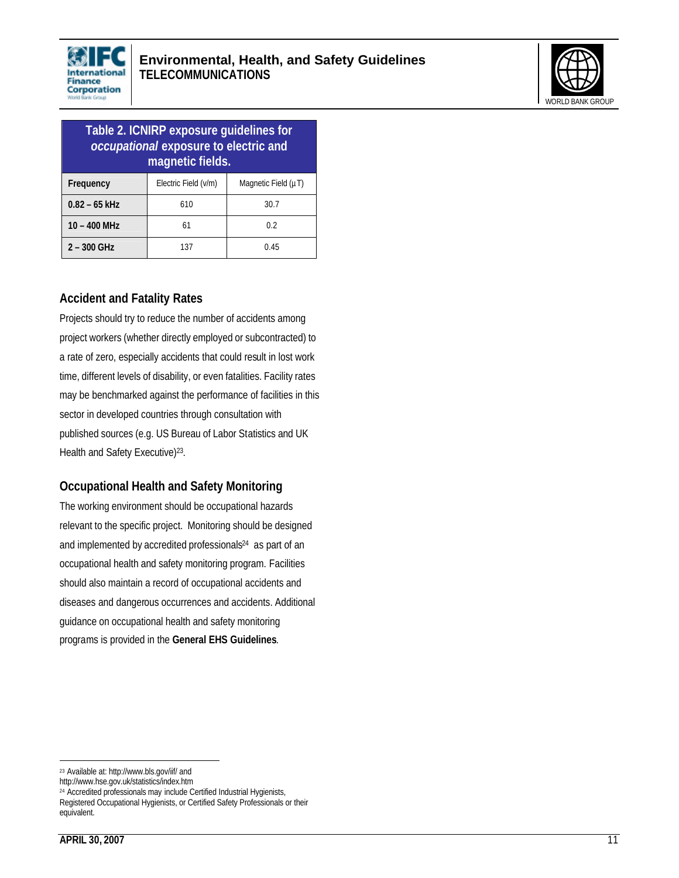



| Table 2. ICNIRP exposure guidelines for<br>occupational exposure to electric and<br>magnetic fields. |                      |                          |
|------------------------------------------------------------------------------------------------------|----------------------|--------------------------|
| Frequency                                                                                            | Electric Field (v/m) | Magnetic Field $(\mu T)$ |
| $0.82 - 65$ kHz                                                                                      | 610                  | 30.7                     |
| $10 - 400$ MHz                                                                                       | 61                   | 0.2                      |
| $2 - 300$ GHz                                                                                        | 137                  | 0.45                     |

### **Accident and Fatality Rates**

Projects should try to reduce the number of accidents among project workers (whether directly employed or subcontracted) to a rate of zero, especially accidents that could result in lost work time, different levels of disability, or even fatalities. Facility rates may be benchmarked against the performance of facilities in this sector in developed countries through consultation with published sources (e.g. US Bureau of Labor Statistics and UK Health and Safety Executive)<sup>23</sup>.

#### **Occupational Health and Safety Monitoring**

The working environment should be occupational hazards relevant to the specific project. Monitoring should be designed and implemented by accredited professionals<sup>24</sup> as part of an occupational health and safety monitoring program. Facilities should also maintain a record of occupational accidents and diseases and dangerous occurrences and accidents. Additional guidance on occupational health and safety monitoring programs is provided in the **General EHS Guidelines**.

 $\overline{a}$ <sup>23</sup> Available at: http://www.bls.gov/iif/ and

http://www.hse.gov.uk/statistics/index.htm

<sup>24</sup> Accredited professionals may include Certified Industrial Hygienists, Registered Occupational Hygienists, or Certified Safety Professionals or their equivalent.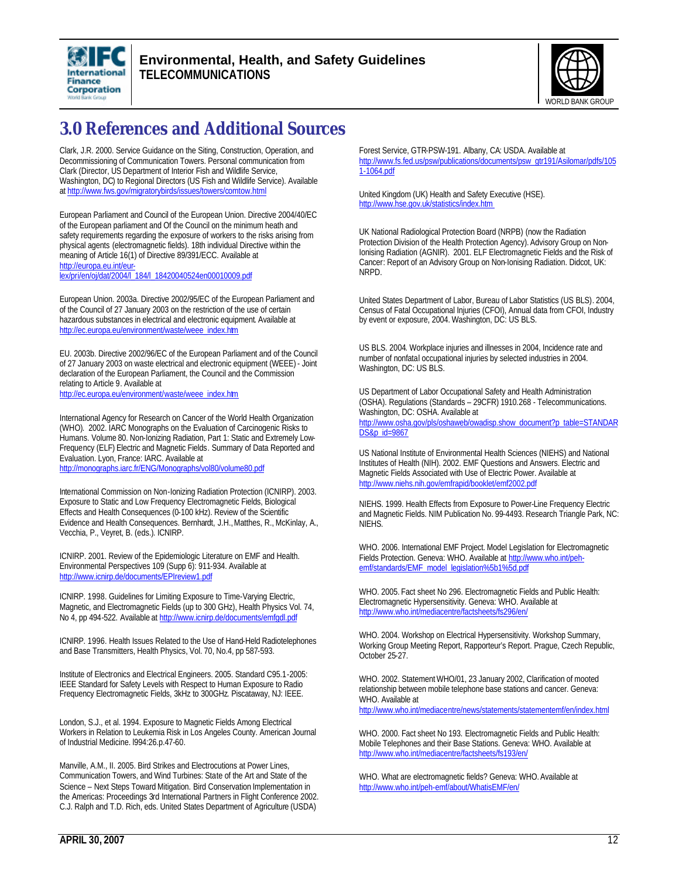



# **3.0 References and Additional Sources**

Clark, J.R. 2000. Service Guidance on the Siting, Construction, Operation, and Decommissioning of Communication Towers. Personal communication from Clark (Director, US Department of Interior Fish and Wildlife Service, Washington, DC) to Regional Directors (US Fish and Wildlife Service). Available at http://www.fws.gov/migratorybirds/issues/towers/comtow.html

European Parliament and Council of the European Union. Directive 2004/40/EC of the European parliament and Of the Council on the minimum heath and safety requirements regarding the exposure of workers to the risks arising from physical agents (electromagnetic fields). 18th individual Directive within the meaning of Article 16(1) of Directive 89/391/ECC. Available at http://europa.eu.int/eur-

lex/pri/en/oj/dat/2004/l\_184/l\_18420040524en00010009.pdf

European Union. 2003a. Directive 2002/95/EC of the European Parliament and of the Council of 27 January 2003 on the restriction of the use of certain hazardous substances in electrical and electronic equipment. Available at http://ec.europa.eu/environment/waste/weee\_index.htm

EU. 2003b. Directive 2002/96/EC of the European Parliament and of the Council of 27 January 2003 on waste electrical and electronic equipment (WEEE) - Joint declaration of the European Parliament, the Council and the Commission relating to Article 9. Available at http://ec.europa.eu/environment/waste/weee\_index.htm

International Agency for Research on Cancer of the World Health Organization (WHO). 2002. IARC Monographs on the Evaluation of Carcinogenic Risks to Humans. Volume 80. Non-Ionizing Radiation, Part 1: Static and Extremely Low-Frequency (ELF) Electric and Magnetic Fields. Summary of Data Reported and Evaluation. Lyon, France: IARC. Available at http://monographs.iarc.fr/ENG/Monographs/vol80/volume80.pdf

International Commission on Non-Ionizing Radiation Protection (ICNIRP). 2003. Exposure to Static and Low Frequency Electromagnetic Fields, Biological Effects and Health Consequences (0-100 kHz). Review of the Scientific Evidence and Health Consequences. Bernhardt, J.H., Matthes, R., McKinlay, A., Vecchia, P., Veyret, B. (eds.). ICNIRP.

ICNIRP. 2001. Review of the Epidemiologic Literature on EMF and Health. Environmental Perspectives 109 (Supp 6): 911-934. Available at http://www.icnirp.de/documents/EPIreview1.pdf

ICNIRP. 1998. Guidelines for Limiting Exposure to Time-Varying Electric, Magnetic, and Electromagnetic Fields (up to 300 GHz), Health Physics Vol. 74, No 4, pp 494-522. Available at http://www.icnirp.de/documents/emfgdl.pdf

ICNIRP. 1996. Health Issues Related to the Use of Hand-Held Radiotelephones and Base Transmitters, Health Physics, Vol. 70, No.4, pp 587-593.

Institute of Electronics and Electrical Engineers. 2005. Standard C95.1-2005: IEEE Standard for Safety Levels with Respect to Human Exposure to Radio Frequency Electromagnetic Fields, 3kHz to 300GHz. Piscataway, NJ: IEEE.

London, S.J., et al. 1994. Exposure to Magnetic Fields Among Electrical Workers in Relation to Leukemia Risk in Los Angeles County. American Journal of Industrial Medicine. l994:26.p.47-60.

Manville, A.M., II. 2005. Bird Strikes and Electrocutions at Power Lines, Communication Towers, and Wind Turbines: State of the Art and State of the Science – Next Steps Toward Mitigation. Bird Conservation Implementation in the Americas: Proceedings 3rd International Partners in Flight Conference 2002. C.J. Ralph and T.D. Rich, eds. United States Department of Agriculture (USDA)

Forest Service, GTR-PSW-191. Albany, CA: USDA. Available at http://www.fs.fed.us/psw/publications/documents/psw\_gtr191/Asilomar/pdfs/105 1-1064.pdf

United Kingdom (UK) Health and Safety Executive (HSE). http://www.hse.gov.uk/statistics/index.htm

UK National Radiological Protection Board (NRPB) (now the Radiation Protection Division of the Health Protection Agency). Advisory Group on Non-Ionising Radiation (AGNIR). 2001. ELF Electromagnetic Fields and the Risk of Cancer: Report of an Advisory Group on Non-Ionising Radiation. Didcot, UK: NRPD.

United States Department of Labor, Bureau of Labor Statistics (US BLS). 2004, Census of Fatal Occupational Injuries (CFOI), Annual data from CFOI, Industry by event or exposure, 2004. Washington, DC: US BLS.

US BLS. 2004. Workplace injuries and illnesses in 2004, Incidence rate and number of nonfatal occupational injuries by selected industries in 2004. Washington, DC: US BLS.

US Department of Labor Occupational Safety and Health Administration (OSHA). Regulations (Standards – 29CFR) 1910.268 - Telecommunications. Washington, DC: OSHA. Available at http://www.osha.gov/pls/oshaweb/owadisp.show\_document?p\_table=STANDAR DS&p\_id=9867

US National Institute of Environmental Health Sciences (NIEHS) and National Institutes of Health (NIH). 2002. EMF Questions and Answers. Electric and Magnetic Fields Associated with Use of Electric Power. Available at http://www.niehs.nih.gov/emfrapid/booklet/emf2002.pdf

NIEHS. 1999. Health Effects from Exposure to Power-Line Frequency Electric and Magnetic Fields. NIM Publication No. 99-4493. Research Triangle Park, NC: NIEHS.

WHO. 2006. International EMF Project. Model Legislation for Electromagnetic Fields Protection. Geneva: WHO. Available at http://www.who.int/pehemf/standards/EMF\_model\_legislation%5b1%5d.pdf

WHO. 2005. Fact sheet No 296. Electromagnetic Fields and Public Health: Electromagnetic Hypersensitivity. Geneva: WHO. Available at http://www.who.int/mediacentre/factsheets/fs296/en/

WHO. 2004. Workshop on Electrical Hypersensitivity. Workshop Summary, Working Group Meeting Report, Rapporteur's Report. Prague, Czech Republic, October 25-27.

WHO. 2002. Statement WHO/01, 23 January 2002, Clarification of mooted relationship between mobile telephone base stations and cancer. Geneva: WHO. Available at

http://www.who.int/mediacentre/news/statements/statementemf/en/index.html

WHO. 2000. Fact sheet No 193. Electromagnetic Fields and Public Health: Mobile Telephones and their Base Stations. Geneva: WHO. Available at http://www.who.int/mediacentre/factsheets/fs193/en/

WHO. What are electromagnetic fields? Geneva: WHO. Available at http://www.who.int/peh-emf/about/WhatisEMF/en/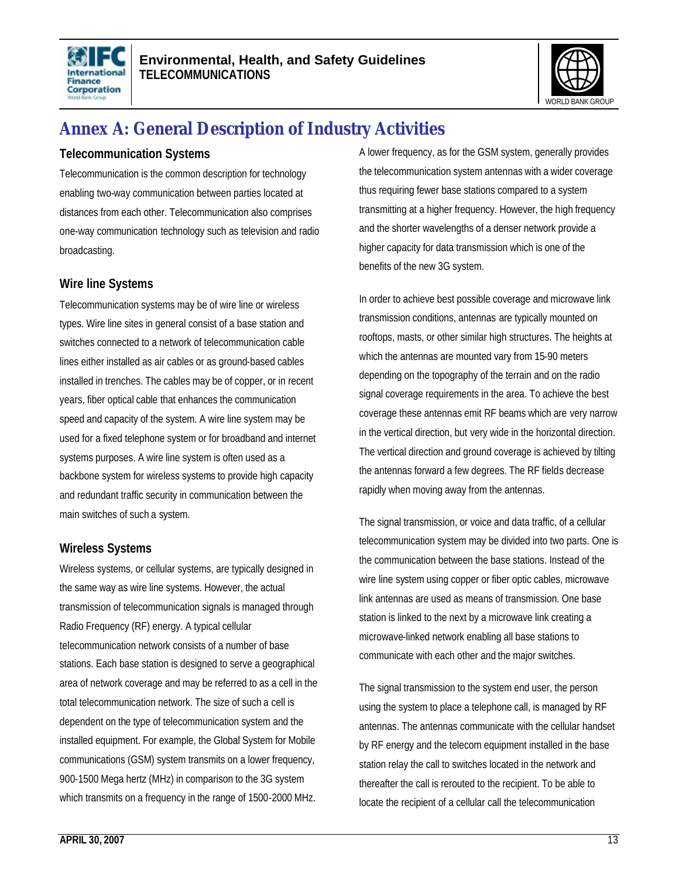



# **Annex A: General Description of Industry Activities**

#### **Telecommunication Systems**

Telecommunication is the common description for technology enabling two-way communication between parties located at distances from each other. Telecommunication also comprises one-way communication technology such as television and radio broadcasting.

#### **Wire line Systems**

Telecommunication systems may be of wire line or wireless types. Wire line sites in general consist of a base station and switches connected to a network of telecommunication cable lines either installed as air cables or as ground-based cables installed in trenches. The cables may be of copper, or in recent years, fiber optical cable that enhances the communication speed and capacity of the system. A wire line system may be used for a fixed telephone system or for broadband and internet systems purposes. A wire line system is often used as a backbone system for wireless systems to provide high capacity and redundant traffic security in communication between the main switches of such a system.

### **Wireless Systems**

Wireless systems, or cellular systems, are typically designed in the same way as wire line systems. However, the actual transmission of telecommunication signals is managed through Radio Frequency (RF) energy. A typical cellular telecommunication network consists of a number of base stations. Each base station is designed to serve a geographical area of network coverage and may be referred to as a cell in the total telecommunication network. The size of such a cell is dependent on the type of telecommunication system and the installed equipment. For example, the Global System for Mobile communications (GSM) system transmits on a lower frequency, 900-1500 Mega hertz (MHz) in comparison to the 3G system which transmits on a frequency in the range of 1500-2000 MHz.

A lower frequency, as for the GSM system, generally provides the telecommunication system antennas with a wider coverage thus requiring fewer base stations compared to a system transmitting at a higher frequency. However, the high frequency and the shorter wavelengths of a denser network provide a higher capacity for data transmission which is one of the benefits of the new 3G system.

In order to achieve best possible coverage and microwave link transmission conditions, antennas are typically mounted on rooftops, masts, or other similar high structures. The heights at which the antennas are mounted vary from 15-90 meters depending on the topography of the terrain and on the radio signal coverage requirements in the area. To achieve the best coverage these antennas emit RF beams which are very narrow in the vertical direction, but very wide in the horizontal direction. The vertical direction and ground coverage is achieved by tilting the antennas forward a few degrees. The RF fields decrease rapidly when moving away from the antennas.

The signal transmission, or voice and data traffic, of a cellular telecommunication system may be divided into two parts. One is the communication between the base stations. Instead of the wire line system using copper or fiber optic cables, microwave link antennas are used as means of transmission. One base station is linked to the next by a microwave link creating a microwave-linked network enabling all base stations to communicate with each other and the major switches.

The signal transmission to the system end user, the person using the system to place a telephone call, is managed by RF antennas. The antennas communicate with the cellular handset by RF energy and the telecom equipment installed in the base station relay the call to switches located in the network and thereafter the call is rerouted to the recipient. To be able to locate the recipient of a cellular call the telecommunication